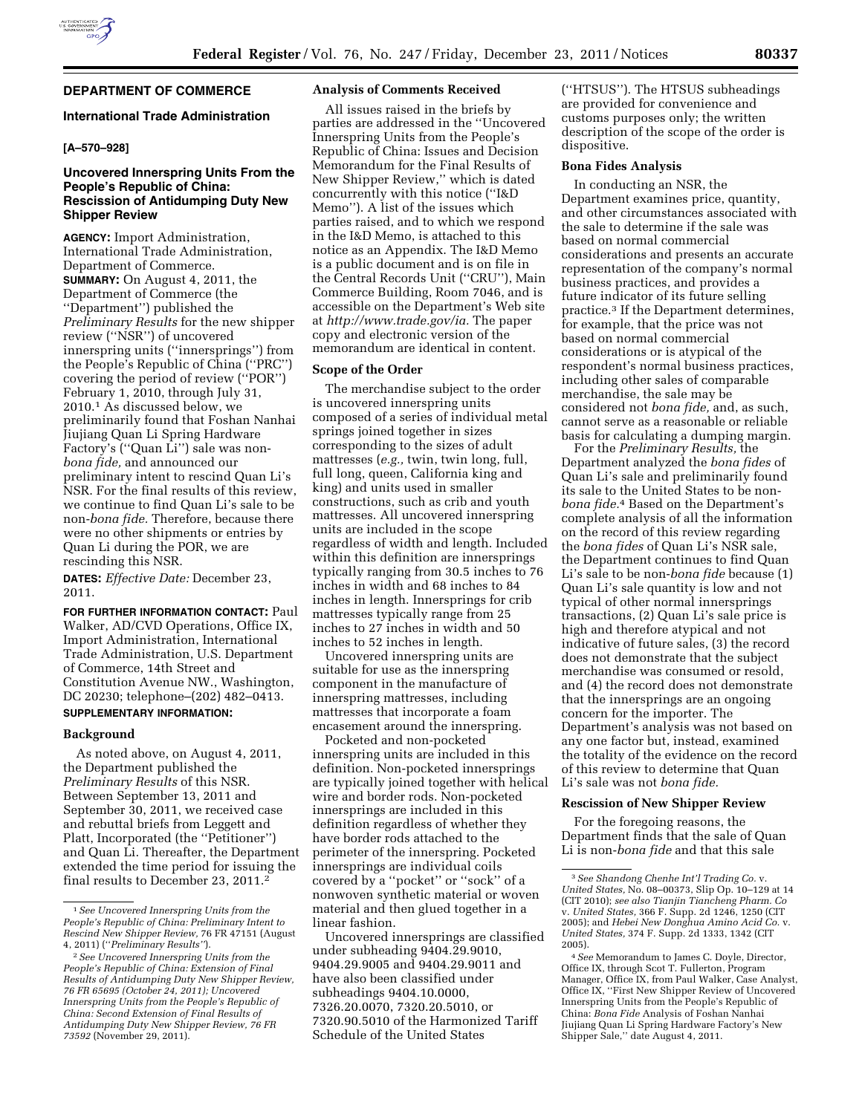# **DEPARTMENT OF COMMERCE**

## **International Trade Administration**

## **[A–570–928]**

## **Uncovered Innerspring Units From the People's Republic of China: Rescission of Antidumping Duty New Shipper Review**

**AGENCY:** Import Administration, International Trade Administration, Department of Commerce. **SUMMARY:** On August 4, 2011, the Department of Commerce (the ''Department'') published the *Preliminary Results* for the new shipper review (''NSR'') of uncovered innerspring units (''innersprings'') from the People's Republic of China (''PRC'') covering the period of review (''POR'') February 1, 2010, through July 31, 2010.1 As discussed below, we preliminarily found that Foshan Nanhai Jiujiang Quan Li Spring Hardware Factory's (''Quan Li'') sale was non*bona fide,* and announced our preliminary intent to rescind Quan Li's NSR. For the final results of this review, we continue to find Quan Li's sale to be non-*bona fide.* Therefore, because there were no other shipments or entries by Quan Li during the POR, we are rescinding this NSR.

**DATES:** *Effective Date:* December 23, 2011.

**FOR FURTHER INFORMATION CONTACT:** Paul Walker, AD/CVD Operations, Office IX, Import Administration, International Trade Administration, U.S. Department of Commerce, 14th Street and Constitution Avenue NW., Washington, DC 20230; telephone–(202) 482–0413.

# **SUPPLEMENTARY INFORMATION:**

## **Background**

As noted above, on August 4, 2011, the Department published the *Preliminary Results* of this NSR. Between September 13, 2011 and September 30, 2011, we received case and rebuttal briefs from Leggett and Platt, Incorporated (the ''Petitioner'') and Quan Li. Thereafter, the Department extended the time period for issuing the final results to December 23, 2011.2

## **Analysis of Comments Received**

All issues raised in the briefs by parties are addressed in the ''Uncovered Innerspring Units from the People's Republic of China: Issues and Decision Memorandum for the Final Results of New Shipper Review,'' which is dated concurrently with this notice (''I&D Memo''). A list of the issues which parties raised, and to which we respond in the I&D Memo, is attached to this notice as an Appendix. The I&D Memo is a public document and is on file in the Central Records Unit (''CRU''), Main Commerce Building, Room 7046, and is accessible on the Department's Web site at *http://www.trade.gov/ia.* The paper copy and electronic version of the memorandum are identical in content.

#### **Scope of the Order**

The merchandise subject to the order is uncovered innerspring units composed of a series of individual metal springs joined together in sizes corresponding to the sizes of adult mattresses (*e.g.,* twin, twin long, full, full long, queen, California king and king) and units used in smaller constructions, such as crib and youth mattresses. All uncovered innerspring units are included in the scope regardless of width and length. Included within this definition are innersprings typically ranging from 30.5 inches to 76 inches in width and 68 inches to 84 inches in length. Innersprings for crib mattresses typically range from 25 inches to 27 inches in width and 50 inches to 52 inches in length.

Uncovered innerspring units are suitable for use as the innerspring component in the manufacture of innerspring mattresses, including mattresses that incorporate a foam encasement around the innerspring.

Pocketed and non-pocketed innerspring units are included in this definition. Non-pocketed innersprings are typically joined together with helical wire and border rods. Non-pocketed innersprings are included in this definition regardless of whether they have border rods attached to the perimeter of the innerspring. Pocketed innersprings are individual coils covered by a ''pocket'' or ''sock'' of a nonwoven synthetic material or woven material and then glued together in a linear fashion.

Uncovered innersprings are classified under subheading 9404.29.9010, 9404.29.9005 and 9404.29.9011 and have also been classified under subheadings 9404.10.0000, 7326.20.0070, 7320.20.5010, or 7320.90.5010 of the Harmonized Tariff Schedule of the United States

(''HTSUS''). The HTSUS subheadings are provided for convenience and customs purposes only; the written description of the scope of the order is dispositive.

#### **Bona Fides Analysis**

In conducting an NSR, the Department examines price, quantity, and other circumstances associated with the sale to determine if the sale was based on normal commercial considerations and presents an accurate representation of the company's normal business practices, and provides a future indicator of its future selling practice.3 If the Department determines, for example, that the price was not based on normal commercial considerations or is atypical of the respondent's normal business practices, including other sales of comparable merchandise, the sale may be considered not *bona fide,* and, as such, cannot serve as a reasonable or reliable basis for calculating a dumping margin.

For the *Preliminary Results,* the Department analyzed the *bona fides* of Quan Li's sale and preliminarily found its sale to the United States to be non*bona fide.*4 Based on the Department's complete analysis of all the information on the record of this review regarding the *bona fides* of Quan Li's NSR sale, the Department continues to find Quan Li's sale to be non-*bona fide* because (1) Quan Li's sale quantity is low and not typical of other normal innersprings transactions, (2) Quan Li's sale price is high and therefore atypical and not indicative of future sales, (3) the record does not demonstrate that the subject merchandise was consumed or resold, and (4) the record does not demonstrate that the innersprings are an ongoing concern for the importer. The Department's analysis was not based on any one factor but, instead, examined the totality of the evidence on the record of this review to determine that Quan Li's sale was not *bona fide.* 

### **Rescission of New Shipper Review**

For the foregoing reasons, the Department finds that the sale of Quan Li is non-*bona fide* and that this sale

<sup>1</sup>*See Uncovered Innerspring Units from the People's Republic of China: Preliminary Intent to Rescind New Shipper Review,* 76 FR 47151 (August 4, 2011) (''*Preliminary Results''*).

<sup>2</sup>*See Uncovered Innerspring Units from the People's Republic of China: Extension of Final Results of Antidumping Duty New Shipper Review, 76 FR 65695 (October 24, 2011); Uncovered Innerspring Units from the People's Republic of China: Second Extension of Final Results of Antidumping Duty New Shipper Review, 76 FR 73592* (November 29, 2011).

<sup>3</sup>*See Shandong Chenhe Int'l Trading Co.* v. *United States,* No. 08–00373, Slip Op. 10–129 at 14 (CIT 2010); *see also Tianjin Tiancheng Pharm. Co*  v. *United States,* 366 F. Supp. 2d 1246, 1250 (CIT 2005); and *Hebei New Donghua Amino Acid Co.* v. *United States,* 374 F. Supp. 2d 1333, 1342 (CIT 2005).

<sup>4</sup>*See* Memorandum to James C. Doyle, Director, Office IX, through Scot T. Fullerton, Program Manager, Office IX, from Paul Walker, Case Analyst, Office IX, ''First New Shipper Review of Uncovered Innerspring Units from the People's Republic of China: *Bona Fide* Analysis of Foshan Nanhai Jiujiang Quan Li Spring Hardware Factory's New Shipper Sale,'' date August 4, 2011.